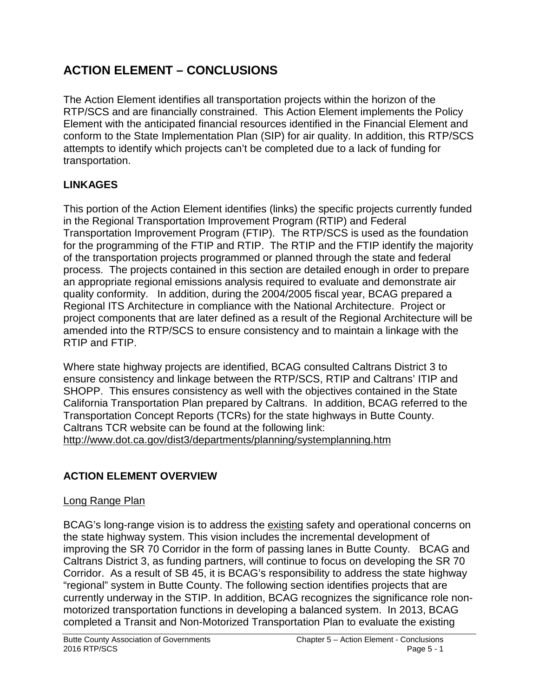# **ACTION ELEMENT – CONCLUSIONS**

The Action Element identifies all transportation projects within the horizon of the RTP/SCS and are financially constrained. This Action Element implements the Policy Element with the anticipated financial resources identified in the Financial Element and conform to the State Implementation Plan (SIP) for air quality. In addition, this RTP/SCS attempts to identify which projects can't be completed due to a lack of funding for transportation.

# **LINKAGES**

This portion of the Action Element identifies (links) the specific projects currently funded in the Regional Transportation Improvement Program (RTIP) and Federal Transportation Improvement Program (FTIP). The RTP/SCS is used as the foundation for the programming of the FTIP and RTIP. The RTIP and the FTIP identify the majority of the transportation projects programmed or planned through the state and federal process. The projects contained in this section are detailed enough in order to prepare an appropriate regional emissions analysis required to evaluate and demonstrate air quality conformity. In addition, during the 2004/2005 fiscal year, BCAG prepared a Regional ITS Architecture in compliance with the National Architecture. Project or project components that are later defined as a result of the Regional Architecture will be amended into the RTP/SCS to ensure consistency and to maintain a linkage with the RTIP and FTIP.

Where state highway projects are identified, BCAG consulted Caltrans District 3 to ensure consistency and linkage between the RTP/SCS, RTIP and Caltrans' ITIP and SHOPP. This ensures consistency as well with the objectives contained in the State California Transportation Plan prepared by Caltrans. In addition, BCAG referred to the Transportation Concept Reports (TCRs) for the state highways in Butte County. Caltrans TCR website can be found at the following link: <http://www.dot.ca.gov/dist3/departments/planning/systemplanning.htm>

# **ACTION ELEMENT OVERVIEW**

# Long Range Plan

BCAG's long-range vision is to address the existing safety and operational concerns on the state highway system. This vision includes the incremental development of improving the SR 70 Corridor in the form of passing lanes in Butte County. BCAG and Caltrans District 3, as funding partners, will continue to focus on developing the SR 70 Corridor. As a result of SB 45, it is BCAG's responsibility to address the state highway "regional" system in Butte County. The following section identifies projects that are currently underway in the STIP. In addition, BCAG recognizes the significance role nonmotorized transportation functions in developing a balanced system. In 2013, BCAG completed a Transit and Non-Motorized Transportation Plan to evaluate the existing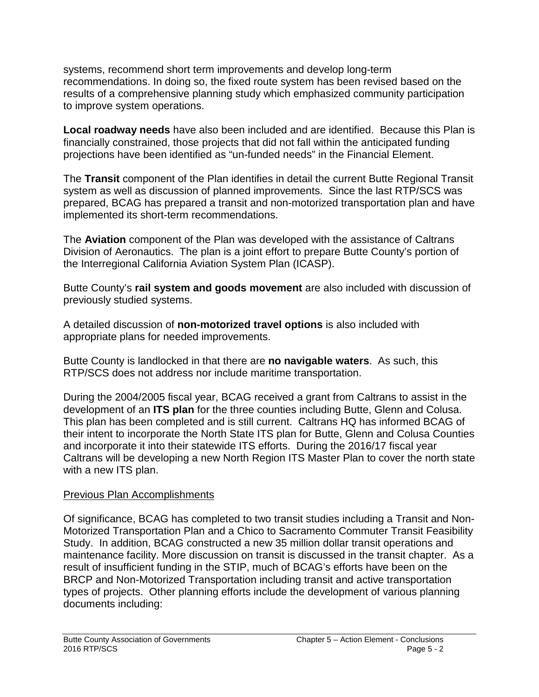systems, recommend short term improvements and develop long-term recommendations. In doing so, the fixed route system has been revised based on the results of a comprehensive planning study which emphasized community participation to improve system operations.

**Local roadway needs** have also been included and are identified. Because this Plan is financially constrained, those projects that did not fall within the anticipated funding projections have been identified as "un-funded needs" in the Financial Element.

The **Transit** component of the Plan identifies in detail the current Butte Regional Transit system as well as discussion of planned improvements. Since the last RTP/SCS was prepared, BCAG has prepared a transit and non-motorized transportation plan and have implemented its short-term recommendations.

The **Aviation** component of the Plan was developed with the assistance of Caltrans Division of Aeronautics. The plan is a joint effort to prepare Butte County's portion of the Interregional California Aviation System Plan (ICASP).

Butte County's **rail system and goods movement** are also included with discussion of previously studied systems.

A detailed discussion of **non-motorized travel options** is also included with appropriate plans for needed improvements.

Butte County is landlocked in that there are **no navigable waters**. As such, this RTP/SCS does not address nor include maritime transportation.

During the 2004/2005 fiscal year, BCAG received a grant from Caltrans to assist in the development of an **ITS plan** for the three counties including Butte, Glenn and Colusa. This plan has been completed and is still current. Caltrans HQ has informed BCAG of their intent to incorporate the North State ITS plan for Butte, Glenn and Colusa Counties and incorporate it into their statewide ITS efforts. During the 2016/17 fiscal year Caltrans will be developing a new North Region ITS Master Plan to cover the north state with a new ITS plan.

#### Previous Plan Accomplishments

Of significance, BCAG has completed to two transit studies including a Transit and Non-Motorized Transportation Plan and a Chico to Sacramento Commuter Transit Feasibility Study. In addition, BCAG constructed a new 35 million dollar transit operations and maintenance facility. More discussion on transit is discussed in the transit chapter. As a result of insufficient funding in the STIP, much of BCAG's efforts have been on the BRCP and Non-Motorized Transportation including transit and active transportation types of projects. Other planning efforts include the development of various planning documents including: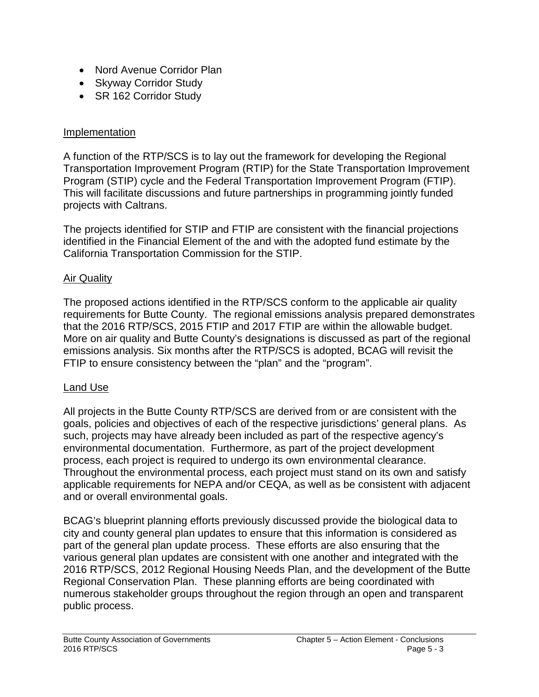- Nord Avenue Corridor Plan
- Skyway Corridor Study
- SR 162 Corridor Study

#### Implementation

A function of the RTP/SCS is to lay out the framework for developing the Regional Transportation Improvement Program (RTIP) for the State Transportation Improvement Program (STIP) cycle and the Federal Transportation Improvement Program (FTIP). This will facilitate discussions and future partnerships in programming jointly funded projects with Caltrans.

The projects identified for STIP and FTIP are consistent with the financial projections identified in the Financial Element of the and with the adopted fund estimate by the California Transportation Commission for the STIP.

## Air Quality

The proposed actions identified in the RTP/SCS conform to the applicable air quality requirements for Butte County. The regional emissions analysis prepared demonstrates that the 2016 RTP/SCS, 2015 FTIP and 2017 FTIP are within the allowable budget. More on air quality and Butte County's designations is discussed as part of the regional emissions analysis. Six months after the RTP/SCS is adopted, BCAG will revisit the FTIP to ensure consistency between the "plan" and the "program".

## Land Use

All projects in the Butte County RTP/SCS are derived from or are consistent with the goals, policies and objectives of each of the respective jurisdictions' general plans. As such, projects may have already been included as part of the respective agency's environmental documentation. Furthermore, as part of the project development process, each project is required to undergo its own environmental clearance. Throughout the environmental process, each project must stand on its own and satisfy applicable requirements for NEPA and/or CEQA, as well as be consistent with adjacent and or overall environmental goals.

BCAG's blueprint planning efforts previously discussed provide the biological data to city and county general plan updates to ensure that this information is considered as part of the general plan update process. These efforts are also ensuring that the various general plan updates are consistent with one another and integrated with the 2016 RTP/SCS, 2012 Regional Housing Needs Plan, and the development of the Butte Regional Conservation Plan. These planning efforts are being coordinated with numerous stakeholder groups throughout the region through an open and transparent public process.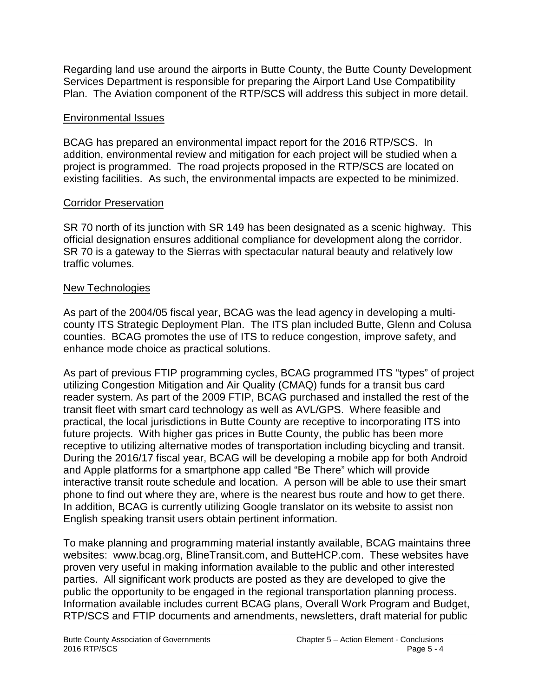Regarding land use around the airports in Butte County, the Butte County Development Services Department is responsible for preparing the Airport Land Use Compatibility Plan. The Aviation component of the RTP/SCS will address this subject in more detail.

## Environmental Issues

BCAG has prepared an environmental impact report for the 2016 RTP/SCS. In addition, environmental review and mitigation for each project will be studied when a project is programmed. The road projects proposed in the RTP/SCS are located on existing facilities. As such, the environmental impacts are expected to be minimized.

## Corridor Preservation

SR 70 north of its junction with SR 149 has been designated as a scenic highway. This official designation ensures additional compliance for development along the corridor. SR 70 is a gateway to the Sierras with spectacular natural beauty and relatively low traffic volumes.

# New Technologies

As part of the 2004/05 fiscal year, BCAG was the lead agency in developing a multicounty ITS Strategic Deployment Plan. The ITS plan included Butte, Glenn and Colusa counties. BCAG promotes the use of ITS to reduce congestion, improve safety, and enhance mode choice as practical solutions.

As part of previous FTIP programming cycles, BCAG programmed ITS "types" of project utilizing Congestion Mitigation and Air Quality (CMAQ) funds for a transit bus card reader system. As part of the 2009 FTIP, BCAG purchased and installed the rest of the transit fleet with smart card technology as well as AVL/GPS. Where feasible and practical, the local jurisdictions in Butte County are receptive to incorporating ITS into future projects. With higher gas prices in Butte County, the public has been more receptive to utilizing alternative modes of transportation including bicycling and transit. During the 2016/17 fiscal year, BCAG will be developing a mobile app for both Android and Apple platforms for a smartphone app called "Be There" which will provide interactive transit route schedule and location. A person will be able to use their smart phone to find out where they are, where is the nearest bus route and how to get there. In addition, BCAG is currently utilizing Google translator on its website to assist non English speaking transit users obtain pertinent information.

To make planning and programming material instantly available, BCAG maintains three websites: www.bcag.org, BlineTransit.com, and ButteHCP.com. These websites have proven very useful in making information available to the public and other interested parties. All significant work products are posted as they are developed to give the public the opportunity to be engaged in the regional transportation planning process. Information available includes current BCAG plans, Overall Work Program and Budget, RTP/SCS and FTIP documents and amendments, newsletters, draft material for public